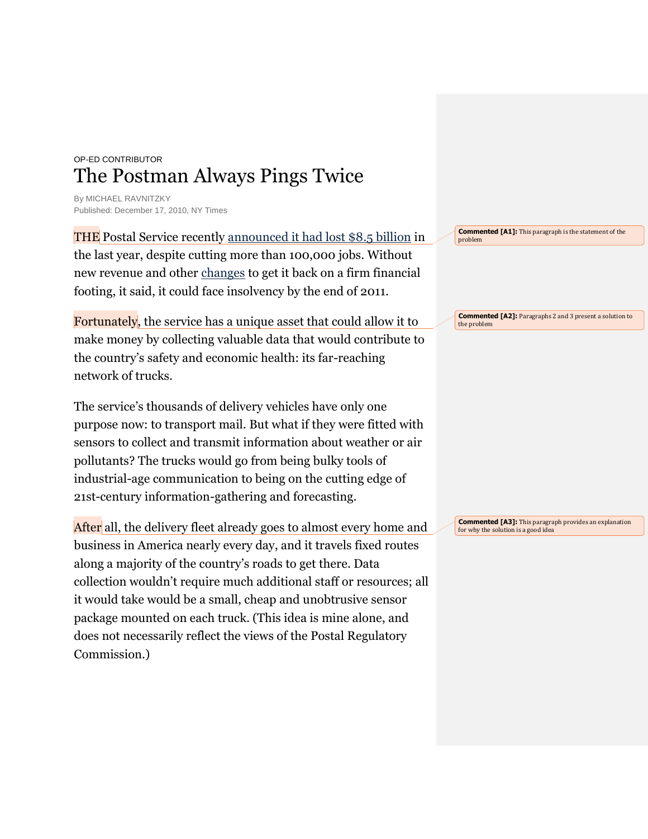## OP-ED CONTRIBUTOR The Postman Always Pings Twice

By MICHAEL RAVNITZKY Published: December 17, 2010, NY Times

THE Postal Service recently [announced it had lost \\$8.5 billion](http://www.npr.org/2010/11/12/131269643/u-s-postal-service-lost-8-5-billion-in-2010) in the last year, despite cutting more than 100,000 jobs. Without new revenue and other [changes](http://www.nytimes.com/2010/03/03/us/03postal.html) to get it back on a firm financial footing, it said, it could face insolvency by the end of 2011.

Fortunately, the service has a unique asset that could allow it to make money by collecting valuable data that would contribute to the country's safety and economic health: its far-reaching network of trucks.

The service's thousands of delivery vehicles have only one purpose now: to transport mail. But what if they were fitted with sensors to collect and transmit information about weather or air pollutants? The trucks would go from being bulky tools of industrial-age communication to being on the cutting edge of 21st-century information-gathering and forecasting.

After all, the delivery fleet already goes to almost every home and business in America nearly every day, and it travels fixed routes along a majority of the country's roads to get there. Data collection wouldn't require much additional staff or resources; all it would take would be a small, cheap and unobtrusive sensor package mounted on each truck. (This idea is mine alone, and does not necessarily reflect the views of the Postal Regulatory Commission.)

**Commented [A1]:** This paragraph is the statement of the problem

**Commented [A2]:** Paragraphs 2 and 3 present a solution to the problem

**Commented [A3]:** This paragraph provides an explanation for why the solution is a good idea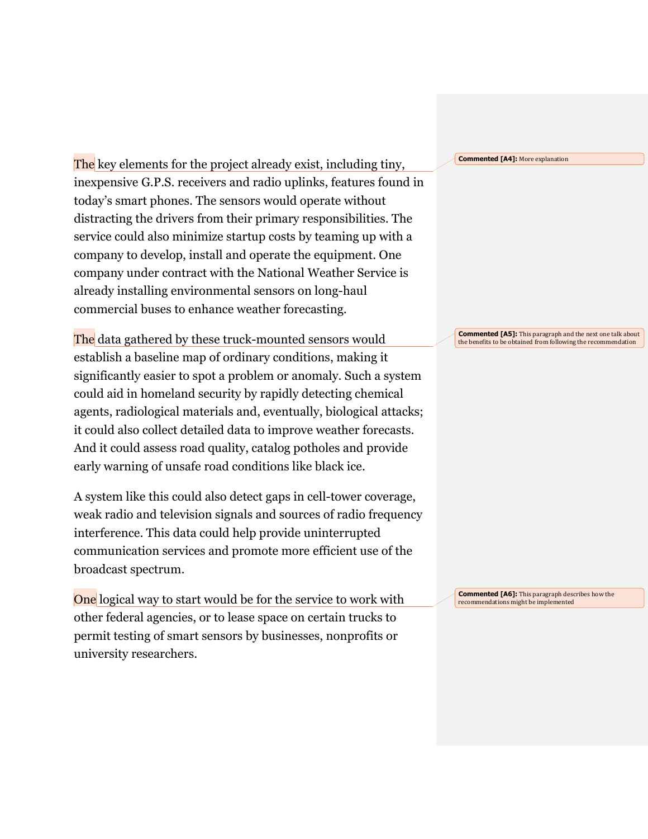The key elements for the project already exist, including tiny, inexpensive G.P.S. receivers and radio uplinks, features found in today's smart phones. The sensors would operate without distracting the drivers from their primary responsibilities. The service could also minimize startup costs by teaming up with a company to develop, install and operate the equipment. One company under contract with the National Weather Service is already installing environmental sensors on long-haul commercial buses to enhance weather forecasting.

The data gathered by these truck-mounted sensors would establish a baseline map of ordinary conditions, making it significantly easier to spot a problem or anomaly. Such a system could aid in homeland security by rapidly detecting chemical agents, radiological materials and, eventually, biological attacks; it could also collect detailed data to improve weather forecasts. And it could assess road quality, catalog potholes and provide early warning of unsafe road conditions like black ice.

A system like this could also detect gaps in cell-tower coverage, weak radio and television signals and sources of radio frequency interference. This data could help provide uninterrupted communication services and promote more efficient use of the broadcast spectrum.

One logical way to start would be for the service to work with other federal agencies, or to lease space on certain trucks to permit testing of smart sensors by businesses, nonprofits or university researchers.

**Commented [A4]:** More explanation

**Commented [A5]:** This paragraph and the next one talk about the benefits to be obtained from following the recommendation

**Commented [A6]:** This paragraph describes how the recommendations might be implemented